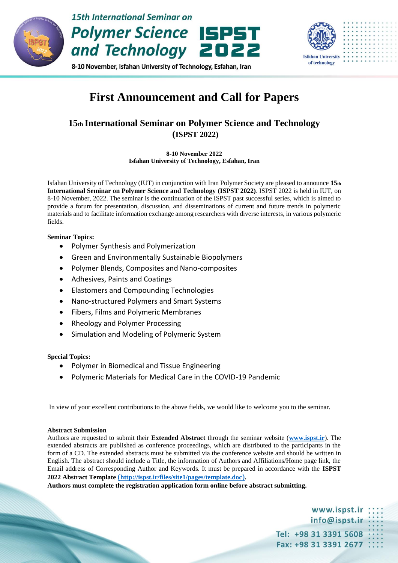

## **First Announcement and Call for Papers**

### **15th International Seminar on Polymer Science and Technology (ISPST 2022)**

**8-10 November 2022 Isfahan University of Technology, Esfahan, Iran**

Isfahan University of Technology (IUT) in conjunction with Iran Polymer Society are pleased to announce **15th International Seminar on Polymer Science and Technology (ISPST 2022)**. ISPST 2022 is held in IUT, on 8-10 November, 2022. The seminar is the continuation of the ISPST past successful series, which is aimed to provide a forum for presentation, discussion, and disseminations of current and future trends in polymeric materials and to facilitate information exchange among researchers with diverse interests, in various polymeric fields.

### **Seminar Topics:**

- Polymer Synthesis and Polymerization
- Green and Environmentally Sustainable Biopolymers
- Polymer Blends, Composites and Nano-composites
- Adhesives, Paints and Coatings
- Elastomers and Compounding Technologies
- Nano-structured Polymers and Smart Systems
- Fibers, Films and Polymeric Membranes
- Rheology and Polymer Processing
- Simulation and Modeling of Polymeric System

### **Special Topics:**

- Polymer in Biomedical and Tissue Engineering
- Polymeric Materials for Medical Care in the COVID-19 Pandemic

In view of your excellent contributions to the above fields, we would like to welcome you to the seminar.

### **Abstract Submission**

Authors are requested to submit their **Extended Abstract** through the seminar website (**[www.ispst.ir](file:///D:/conference/سخنران/www.ispst.ir)**). The extended abstracts are published as conference proceedings, which are distributed to the participants in the form of a CD. The extended abstracts must be submitted via the conference website and should be written in English. The abstract should include a Title, the information of Authors and Affiliations/Home page link, the Email address of Corresponding Author and Keywords. It must be prepared in accordance with the **ISPST 2022 Abstract Template** (**<http://ispst.ir/files/site1/pages/template.doc>**)**.**

**Authors must complete the registration application form online before abstract submitting.**

www.ispst.ir info@ispst.ir Tel: +98 31 3391 5608 Fax: +98 31 3391 2677